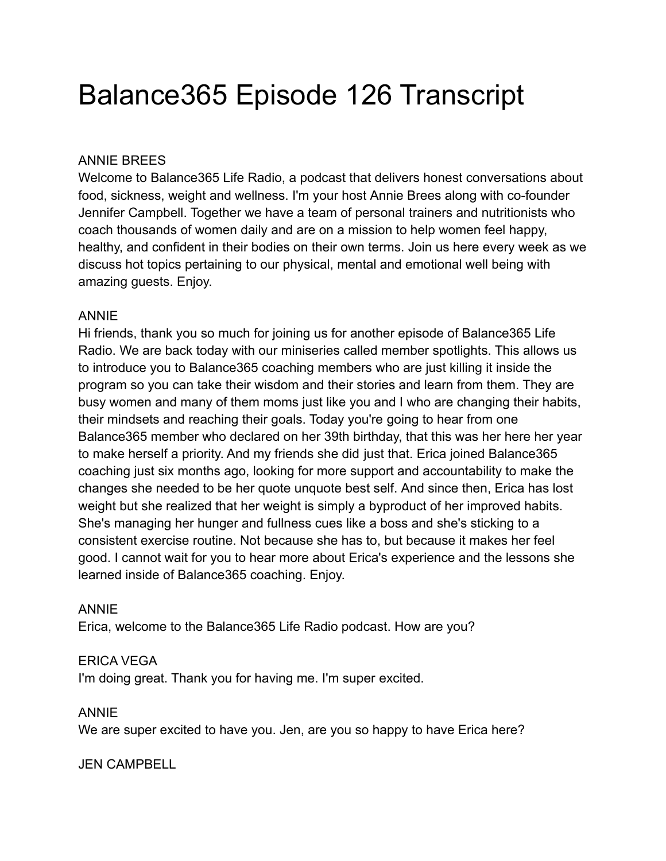# Balance365 Episode 126 Transcript

#### ANNIE BREES

Welcome to Balance365 Life Radio, a podcast that delivers honest conversations about food, sickness, weight and wellness. I'm your host Annie Brees along with co-founder Jennifer Campbell. Together we have a team of personal trainers and nutritionists who coach thousands of women daily and are on a mission to help women feel happy, healthy, and confident in their bodies on their own terms. Join us here every week as we discuss hot topics pertaining to our physical, mental and emotional well being with amazing guests. Enjoy.

#### ANNIE

Hi friends, thank you so much for joining us for another episode of Balance365 Life Radio. We are back today with our miniseries called member spotlights. This allows us to introduce you to Balance365 coaching members who are just killing it inside the program so you can take their wisdom and their stories and learn from them. They are busy women and many of them moms just like you and I who are changing their habits, their mindsets and reaching their goals. Today you're going to hear from one Balance365 member who declared on her 39th birthday, that this was her here her year to make herself a priority. And my friends she did just that. Erica joined Balance365 coaching just six months ago, looking for more support and accountability to make the changes she needed to be her quote unquote best self. And since then, Erica has lost weight but she realized that her weight is simply a byproduct of her improved habits. She's managing her hunger and fullness cues like a boss and she's sticking to a consistent exercise routine. Not because she has to, but because it makes her feel good. I cannot wait for you to hear more about Erica's experience and the lessons she learned inside of Balance365 coaching. Enjoy.

#### ANNIE

Erica, welcome to the Balance365 Life Radio podcast. How are you?

#### ERICA VEGA

I'm doing great. Thank you for having me. I'm super excited.

#### ANNIE

We are super excited to have you. Jen, are you so happy to have Erica here?

#### JEN CAMPBELL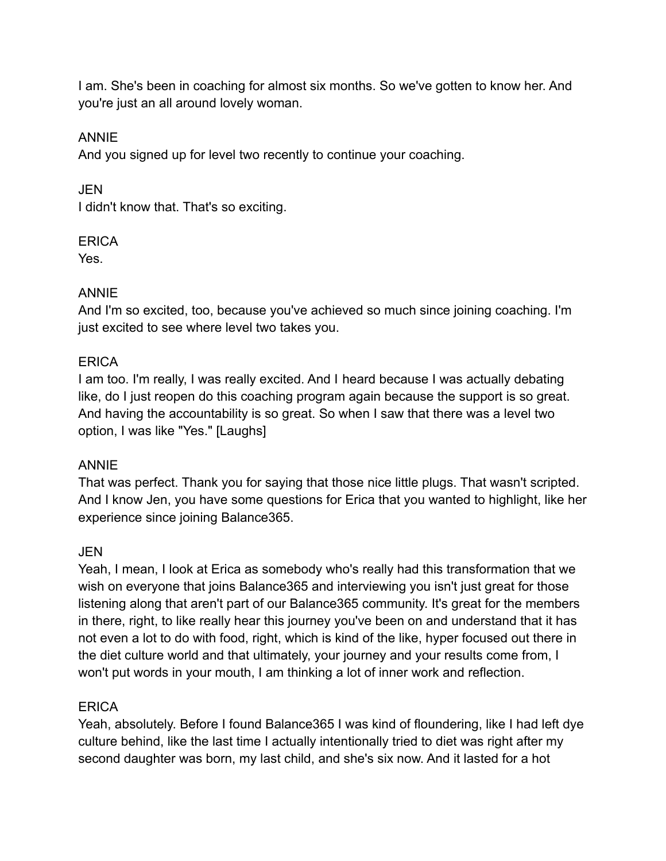I am. She's been in coaching for almost six months. So we've gotten to know her. And you're just an all around lovely woman.

#### ANNIE

And you signed up for level two recently to continue your coaching.

JEN I didn't know that. That's so exciting.

#### **FRICA**

Yes.

# ANNIE

And I'm so excited, too, because you've achieved so much since joining coaching. I'm just excited to see where level two takes you.

# **ERICA**

I am too. I'm really, I was really excited. And I heard because I was actually debating like, do I just reopen do this coaching program again because the support is so great. And having the accountability is so great. So when I saw that there was a level two option, I was like "Yes." [Laughs]

# ANNIE

That was perfect. Thank you for saying that those nice little plugs. That wasn't scripted. And I know Jen, you have some questions for Erica that you wanted to highlight, like her experience since joining Balance365.

# JEN

Yeah, I mean, I look at Erica as somebody who's really had this transformation that we wish on everyone that joins Balance 365 and interviewing you isn't just great for those listening along that aren't part of our Balance365 community. It's great for the members in there, right, to like really hear this journey you've been on and understand that it has not even a lot to do with food, right, which is kind of the like, hyper focused out there in the diet culture world and that ultimately, your journey and your results come from, I won't put words in your mouth, I am thinking a lot of inner work and reflection.

# **ERICA**

Yeah, absolutely. Before I found Balance365 I was kind of floundering, like I had left dye culture behind, like the last time I actually intentionally tried to diet was right after my second daughter was born, my last child, and she's six now. And it lasted for a hot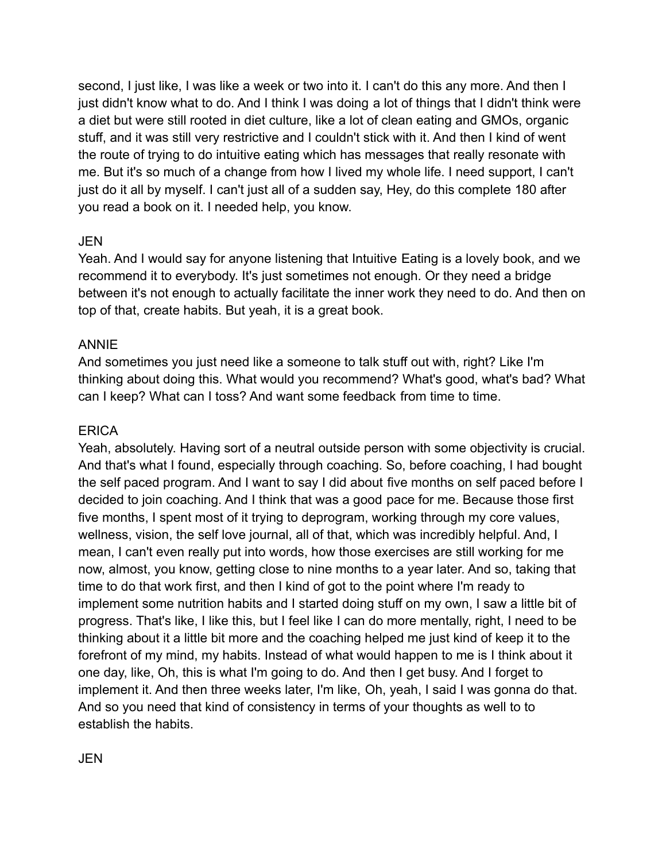second, I just like, I was like a week or two into it. I can't do this any more. And then I just didn't know what to do. And I think I was doing a lot of things that I didn't think were a diet but were still rooted in diet culture, like a lot of clean eating and GMOs, organic stuff, and it was still very restrictive and I couldn't stick with it. And then I kind of went the route of trying to do intuitive eating which has messages that really resonate with me. But it's so much of a change from how I lived my whole life. I need support, I can't just do it all by myself. I can't just all of a sudden say, Hey, do this complete 180 after you read a book on it. I needed help, you know.

#### JEN

Yeah. And I would say for anyone listening that Intuitive Eating is a lovely book, and we recommend it to everybody. It's just sometimes not enough. Or they need a bridge between it's not enough to actually facilitate the inner work they need to do. And then on top of that, create habits. But yeah, it is a great book.

#### ANNIE

And sometimes you just need like a someone to talk stuff out with, right? Like I'm thinking about doing this. What would you recommend? What's good, what's bad? What can I keep? What can I toss? And want some feedback from time to time.

#### **ERICA**

Yeah, absolutely. Having sort of a neutral outside person with some objectivity is crucial. And that's what I found, especially through coaching. So, before coaching, I had bought the self paced program. And I want to say I did about five months on self paced before I decided to join coaching. And I think that was a good pace for me. Because those first five months, I spent most of it trying to deprogram, working through my core values, wellness, vision, the self love journal, all of that, which was incredibly helpful. And, I mean, I can't even really put into words, how those exercises are still working for me now, almost, you know, getting close to nine months to a year later. And so, taking that time to do that work first, and then I kind of got to the point where I'm ready to implement some nutrition habits and I started doing stuff on my own, I saw a little bit of progress. That's like, I like this, but I feel like I can do more mentally, right, I need to be thinking about it a little bit more and the coaching helped me just kind of keep it to the forefront of my mind, my habits. Instead of what would happen to me is I think about it one day, like, Oh, this is what I'm going to do. And then I get busy. And I forget to implement it. And then three weeks later, I'm like, Oh, yeah, I said I was gonna do that. And so you need that kind of consistency in terms of your thoughts as well to to establish the habits.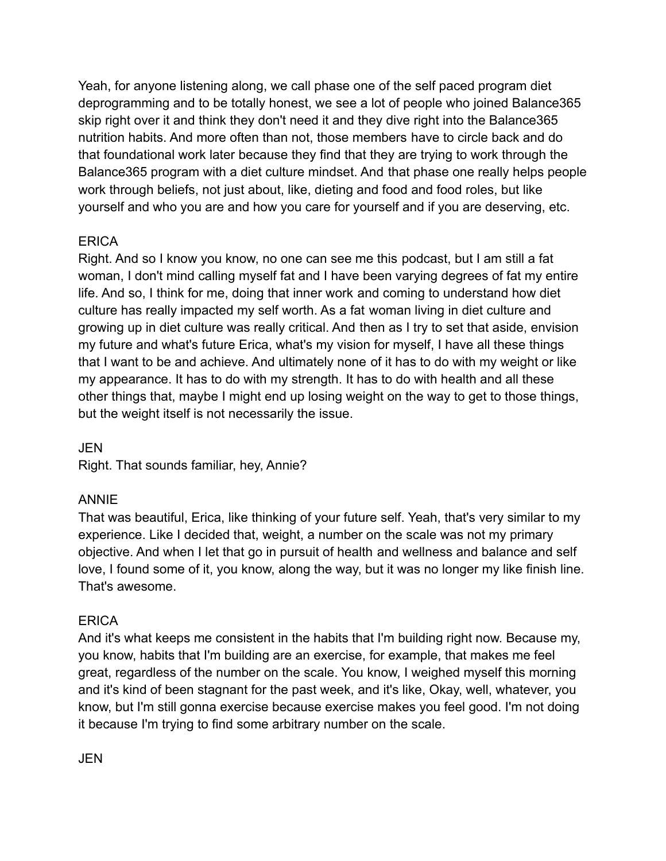Yeah, for anyone listening along, we call phase one of the self paced program diet deprogramming and to be totally honest, we see a lot of people who joined Balance365 skip right over it and think they don't need it and they dive right into the Balance365 nutrition habits. And more often than not, those members have to circle back and do that foundational work later because they find that they are trying to work through the Balance365 program with a diet culture mindset. And that phase one really helps people work through beliefs, not just about, like, dieting and food and food roles, but like yourself and who you are and how you care for yourself and if you are deserving, etc.

# **FRICA**

Right. And so I know you know, no one can see me this podcast, but I am still a fat woman, I don't mind calling myself fat and I have been varying degrees of fat my entire life. And so, I think for me, doing that inner work and coming to understand how diet culture has really impacted my self worth. As a fat woman living in diet culture and growing up in diet culture was really critical. And then as I try to set that aside, envision my future and what's future Erica, what's my vision for myself, I have all these things that I want to be and achieve. And ultimately none of it has to do with my weight or like my appearance. It has to do with my strength. It has to do with health and all these other things that, maybe I might end up losing weight on the way to get to those things, but the weight itself is not necessarily the issue.

JEN

Right. That sounds familiar, hey, Annie?

# ANNIE

That was beautiful, Erica, like thinking of your future self. Yeah, that's very similar to my experience. Like I decided that, weight, a number on the scale was not my primary objective. And when I let that go in pursuit of health and wellness and balance and self love, I found some of it, you know, along the way, but it was no longer my like finish line. That's awesome.

# **ERICA**

And it's what keeps me consistent in the habits that I'm building right now. Because my, you know, habits that I'm building are an exercise, for example, that makes me feel great, regardless of the number on the scale. You know, I weighed myself this morning and it's kind of been stagnant for the past week, and it's like, Okay, well, whatever, you know, but I'm still gonna exercise because exercise makes you feel good. I'm not doing it because I'm trying to find some arbitrary number on the scale.

JEN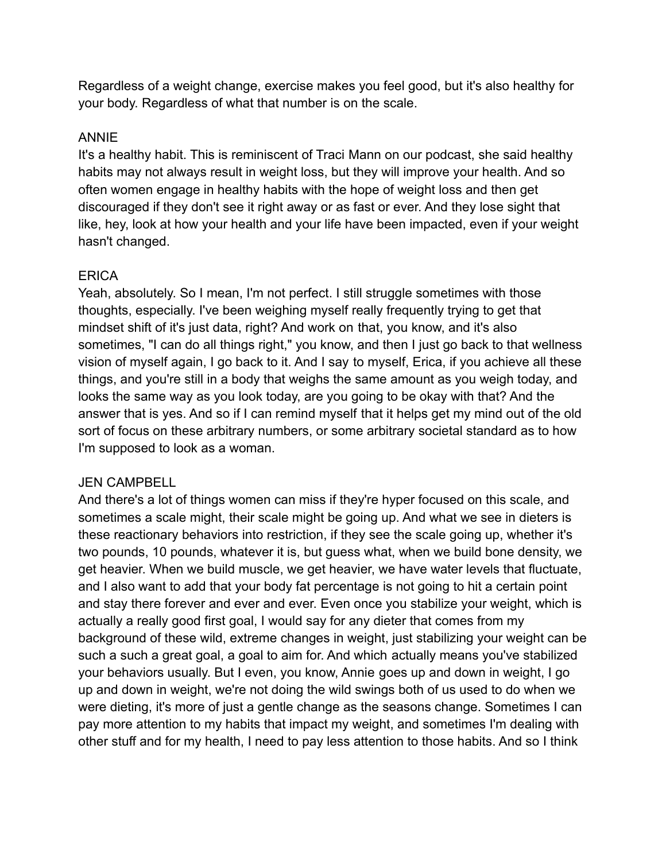Regardless of a weight change, exercise makes you feel good, but it's also healthy for your body. Regardless of what that number is on the scale.

#### ANNIE

It's a healthy habit. This is reminiscent of Traci Mann on our podcast, she said healthy habits may not always result in weight loss, but they will improve your health. And so often women engage in healthy habits with the hope of weight loss and then get discouraged if they don't see it right away or as fast or ever. And they lose sight that like, hey, look at how your health and your life have been impacted, even if your weight hasn't changed.

#### ERICA

Yeah, absolutely. So I mean, I'm not perfect. I still struggle sometimes with those thoughts, especially. I've been weighing myself really frequently trying to get that mindset shift of it's just data, right? And work on that, you know, and it's also sometimes, "I can do all things right," you know, and then I just go back to that wellness vision of myself again, I go back to it. And I say to myself, Erica, if you achieve all these things, and you're still in a body that weighs the same amount as you weigh today, and looks the same way as you look today, are you going to be okay with that? And the answer that is yes. And so if I can remind myself that it helps get my mind out of the old sort of focus on these arbitrary numbers, or some arbitrary societal standard as to how I'm supposed to look as a woman.

# JEN CAMPBELL

And there's a lot of things women can miss if they're hyper focused on this scale, and sometimes a scale might, their scale might be going up. And what we see in dieters is these reactionary behaviors into restriction, if they see the scale going up, whether it's two pounds, 10 pounds, whatever it is, but guess what, when we build bone density, we get heavier. When we build muscle, we get heavier, we have water levels that fluctuate, and I also want to add that your body fat percentage is not going to hit a certain point and stay there forever and ever and ever. Even once you stabilize your weight, which is actually a really good first goal, I would say for any dieter that comes from my background of these wild, extreme changes in weight, just stabilizing your weight can be such a such a great goal, a goal to aim for. And which actually means you've stabilized your behaviors usually. But I even, you know, Annie goes up and down in weight, I go up and down in weight, we're not doing the wild swings both of us used to do when we were dieting, it's more of just a gentle change as the seasons change. Sometimes I can pay more attention to my habits that impact my weight, and sometimes I'm dealing with other stuff and for my health, I need to pay less attention to those habits. And so I think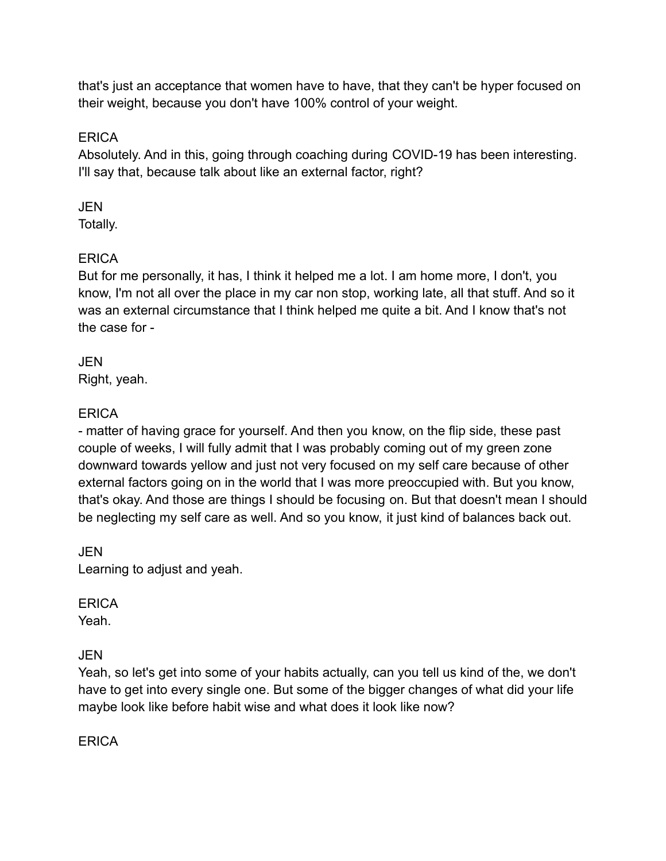that's just an acceptance that women have to have, that they can't be hyper focused on their weight, because you don't have 100% control of your weight.

# **ERICA**

Absolutely. And in this, going through coaching during COVID-19 has been interesting. I'll say that, because talk about like an external factor, right?

# **JEN**

Totally.

# **ERICA**

But for me personally, it has, I think it helped me a lot. I am home more, I don't, you know, I'm not all over the place in my car non stop, working late, all that stuff. And so it was an external circumstance that I think helped me quite a bit. And I know that's not the case for -

JEN Right, yeah.

# **ERICA**

- matter of having grace for yourself. And then you know, on the flip side, these past couple of weeks, I will fully admit that I was probably coming out of my green zone downward towards yellow and just not very focused on my self care because of other external factors going on in the world that I was more preoccupied with. But you know, that's okay. And those are things I should be focusing on. But that doesn't mean I should be neglecting my self care as well. And so you know, it just kind of balances back out.

JEN Learning to adjust and yeah.

# **ERICA**

Yeah.

# JEN

Yeah, so let's get into some of your habits actually, can you tell us kind of the, we don't have to get into every single one. But some of the bigger changes of what did your life maybe look like before habit wise and what does it look like now?

**ERICA**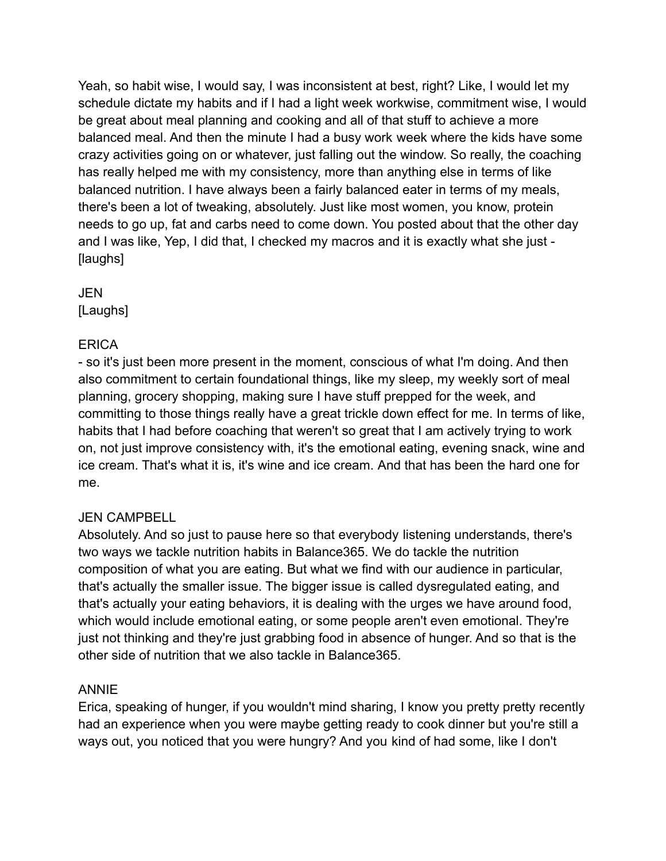Yeah, so habit wise, I would say, I was inconsistent at best, right? Like, I would let my schedule dictate my habits and if I had a light week workwise, commitment wise, I would be great about meal planning and cooking and all of that stuff to achieve a more balanced meal. And then the minute I had a busy work week where the kids have some crazy activities going on or whatever, just falling out the window. So really, the coaching has really helped me with my consistency, more than anything else in terms of like balanced nutrition. I have always been a fairly balanced eater in terms of my meals, there's been a lot of tweaking, absolutely. Just like most women, you know, protein needs to go up, fat and carbs need to come down. You posted about that the other day and I was like, Yep, I did that, I checked my macros and it is exactly what she just - [laughs]

JEN [Laughs]

#### **ERICA**

- so it's just been more present in the moment, conscious of what I'm doing. And then also commitment to certain foundational things, like my sleep, my weekly sort of meal planning, grocery shopping, making sure I have stuff prepped for the week, and committing to those things really have a great trickle down effect for me. In terms of like, habits that I had before coaching that weren't so great that I am actively trying to work on, not just improve consistency with, it's the emotional eating, evening snack, wine and ice cream. That's what it is, it's wine and ice cream. And that has been the hard one for me.

#### JEN CAMPBELL

Absolutely. And so just to pause here so that everybody listening understands, there's two ways we tackle nutrition habits in Balance365. We do tackle the nutrition composition of what you are eating. But what we find with our audience in particular, that's actually the smaller issue. The bigger issue is called dysregulated eating, and that's actually your eating behaviors, it is dealing with the urges we have around food, which would include emotional eating, or some people aren't even emotional. They're just not thinking and they're just grabbing food in absence of hunger. And so that is the other side of nutrition that we also tackle in Balance365.

#### ANNIE

Erica, speaking of hunger, if you wouldn't mind sharing, I know you pretty pretty recently had an experience when you were maybe getting ready to cook dinner but you're still a ways out, you noticed that you were hungry? And you kind of had some, like I don't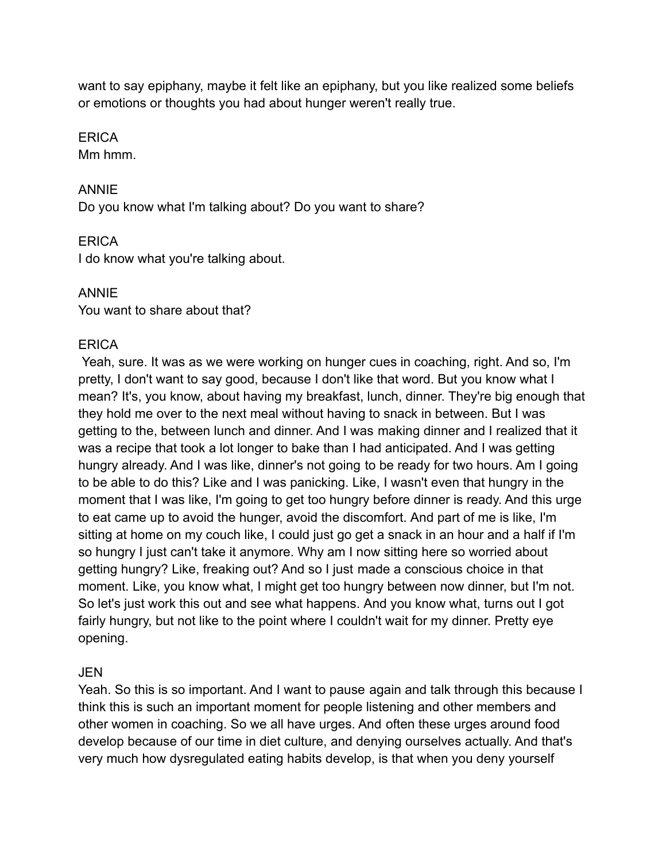want to say epiphany, maybe it felt like an epiphany, but you like realized some beliefs or emotions or thoughts you had about hunger weren't really true.

#### **ERICA**

Mm hmm.

#### ANNIE

Do you know what I'm talking about? Do you want to share?

# **FRICA**

I do know what you're talking about.

# ANNIE

You want to share about that?

# **FRICA**

Yeah, sure. It was as we were working on hunger cues in coaching, right. And so, I'm pretty, I don't want to say good, because I don't like that word. But you know what I mean? It's, you know, about having my breakfast, lunch, dinner. They're big enough that they hold me over to the next meal without having to snack in between. But I was getting to the, between lunch and dinner. And I was making dinner and I realized that it was a recipe that took a lot longer to bake than I had anticipated. And I was getting hungry already. And I was like, dinner's not going to be ready for two hours. Am I going to be able to do this? Like and I was panicking. Like, I wasn't even that hungry in the moment that I was like, I'm going to get too hungry before dinner is ready. And this urge to eat came up to avoid the hunger, avoid the discomfort. And part of me is like, I'm sitting at home on my couch like, I could just go get a snack in an hour and a half if I'm so hungry I just can't take it anymore. Why am I now sitting here so worried about getting hungry? Like, freaking out? And so I just made a conscious choice in that moment. Like, you know what, I might get too hungry between now dinner, but I'm not. So let's just work this out and see what happens. And you know what, turns out I got fairly hungry, but not like to the point where I couldn't wait for my dinner. Pretty eye opening.

# JEN

Yeah. So this is so important. And I want to pause again and talk through this because I think this is such an important moment for people listening and other members and other women in coaching. So we all have urges. And often these urges around food develop because of our time in diet culture, and denying ourselves actually. And that's very much how dysregulated eating habits develop, is that when you deny yourself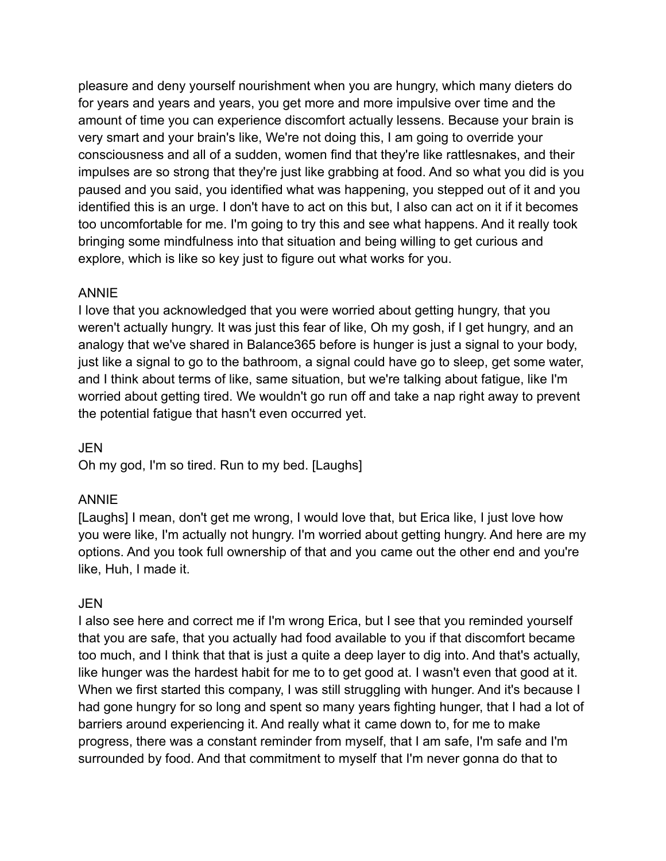pleasure and deny yourself nourishment when you are hungry, which many dieters do for years and years and years, you get more and more impulsive over time and the amount of time you can experience discomfort actually lessens. Because your brain is very smart and your brain's like, We're not doing this, I am going to override your consciousness and all of a sudden, women find that they're like rattlesnakes, and their impulses are so strong that they're just like grabbing at food. And so what you did is you paused and you said, you identified what was happening, you stepped out of it and you identified this is an urge. I don't have to act on this but, I also can act on it if it becomes too uncomfortable for me. I'm going to try this and see what happens. And it really took bringing some mindfulness into that situation and being willing to get curious and explore, which is like so key just to figure out what works for you.

#### ANNIE

I love that you acknowledged that you were worried about getting hungry, that you weren't actually hungry. It was just this fear of like, Oh my gosh, if I get hungry, and an analogy that we've shared in Balance365 before is hunger is just a signal to your body, just like a signal to go to the bathroom, a signal could have go to sleep, get some water, and I think about terms of like, same situation, but we're talking about fatigue, like I'm worried about getting tired. We wouldn't go run off and take a nap right away to prevent the potential fatigue that hasn't even occurred yet.

#### JEN

Oh my god, I'm so tired. Run to my bed. [Laughs]

#### ANNIE

[Laughs] I mean, don't get me wrong, I would love that, but Erica like, I just love how you were like, I'm actually not hungry. I'm worried about getting hungry. And here are my options. And you took full ownership of that and you came out the other end and you're like, Huh, I made it.

#### JEN

I also see here and correct me if I'm wrong Erica, but I see that you reminded yourself that you are safe, that you actually had food available to you if that discomfort became too much, and I think that that is just a quite a deep layer to dig into. And that's actually, like hunger was the hardest habit for me to to get good at. I wasn't even that good at it. When we first started this company, I was still struggling with hunger. And it's because I had gone hungry for so long and spent so many years fighting hunger, that I had a lot of barriers around experiencing it. And really what it came down to, for me to make progress, there was a constant reminder from myself, that I am safe, I'm safe and I'm surrounded by food. And that commitment to myself that I'm never gonna do that to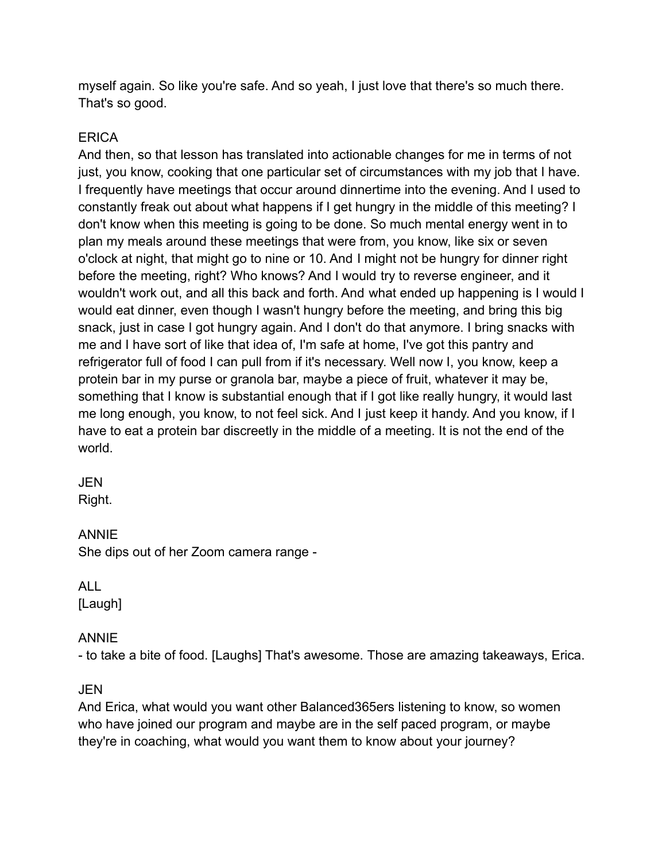myself again. So like you're safe. And so yeah, I just love that there's so much there. That's so good.

#### **ERICA**

And then, so that lesson has translated into actionable changes for me in terms of not just, you know, cooking that one particular set of circumstances with my job that I have. I frequently have meetings that occur around dinnertime into the evening. And I used to constantly freak out about what happens if I get hungry in the middle of this meeting? I don't know when this meeting is going to be done. So much mental energy went in to plan my meals around these meetings that were from, you know, like six or seven o'clock at night, that might go to nine or 10. And I might not be hungry for dinner right before the meeting, right? Who knows? And I would try to reverse engineer, and it wouldn't work out, and all this back and forth. And what ended up happening is I would I would eat dinner, even though I wasn't hungry before the meeting, and bring this big snack, just in case I got hungry again. And I don't do that anymore. I bring snacks with me and I have sort of like that idea of, I'm safe at home, I've got this pantry and refrigerator full of food I can pull from if it's necessary. Well now I, you know, keep a protein bar in my purse or granola bar, maybe a piece of fruit, whatever it may be, something that I know is substantial enough that if I got like really hungry, it would last me long enough, you know, to not feel sick. And I just keep it handy. And you know, if I have to eat a protein bar discreetly in the middle of a meeting. It is not the end of the world.

#### JEN

Right.

# ANNIE

She dips out of her Zoom camera range -

ALL [Laugh]

# ANNIE

- to take a bite of food. [Laughs] That's awesome. Those are amazing takeaways, Erica.

# JEN

And Erica, what would you want other Balanced365ers listening to know, so women who have joined our program and maybe are in the self paced program, or maybe they're in coaching, what would you want them to know about your journey?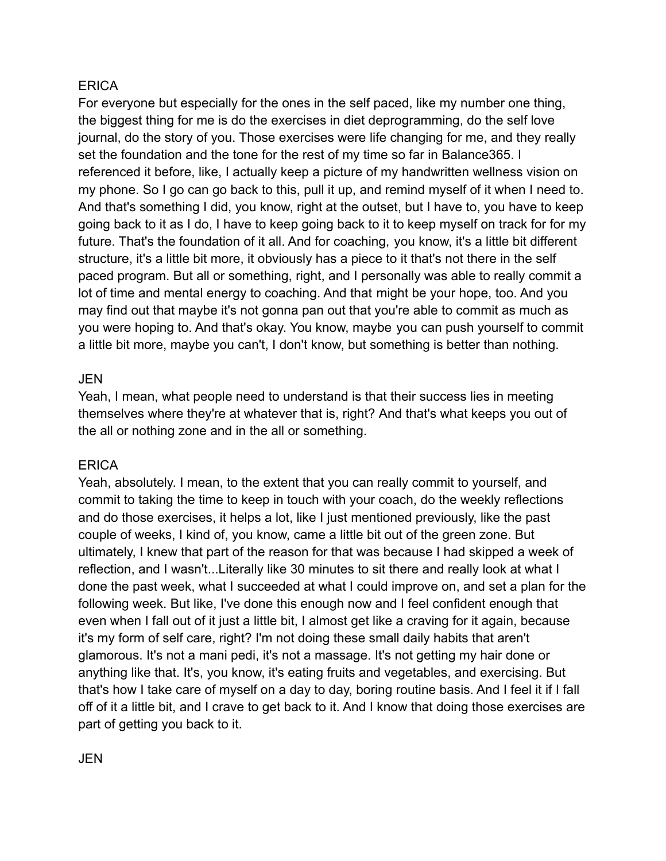#### **ERICA**

For everyone but especially for the ones in the self paced, like my number one thing, the biggest thing for me is do the exercises in diet deprogramming, do the self love journal, do the story of you. Those exercises were life changing for me, and they really set the foundation and the tone for the rest of my time so far in Balance365. I referenced it before, like, I actually keep a picture of my handwritten wellness vision on my phone. So I go can go back to this, pull it up, and remind myself of it when I need to. And that's something I did, you know, right at the outset, but I have to, you have to keep going back to it as I do, I have to keep going back to it to keep myself on track for for my future. That's the foundation of it all. And for coaching, you know, it's a little bit different structure, it's a little bit more, it obviously has a piece to it that's not there in the self paced program. But all or something, right, and I personally was able to really commit a lot of time and mental energy to coaching. And that might be your hope, too. And you may find out that maybe it's not gonna pan out that you're able to commit as much as you were hoping to. And that's okay. You know, maybe you can push yourself to commit a little bit more, maybe you can't, I don't know, but something is better than nothing.

#### JEN

Yeah, I mean, what people need to understand is that their success lies in meeting themselves where they're at whatever that is, right? And that's what keeps you out of the all or nothing zone and in the all or something.

# **ERICA**

Yeah, absolutely. I mean, to the extent that you can really commit to yourself, and commit to taking the time to keep in touch with your coach, do the weekly reflections and do those exercises, it helps a lot, like I just mentioned previously, like the past couple of weeks, I kind of, you know, came a little bit out of the green zone. But ultimately, I knew that part of the reason for that was because I had skipped a week of reflection, and I wasn't...Literally like 30 minutes to sit there and really look at what I done the past week, what I succeeded at what I could improve on, and set a plan for the following week. But like, I've done this enough now and I feel confident enough that even when I fall out of it just a little bit, I almost get like a craving for it again, because it's my form of self care, right? I'm not doing these small daily habits that aren't glamorous. It's not a mani pedi, it's not a massage. It's not getting my hair done or anything like that. It's, you know, it's eating fruits and vegetables, and exercising. But that's how I take care of myself on a day to day, boring routine basis. And I feel it if I fall off of it a little bit, and I crave to get back to it. And I know that doing those exercises are part of getting you back to it.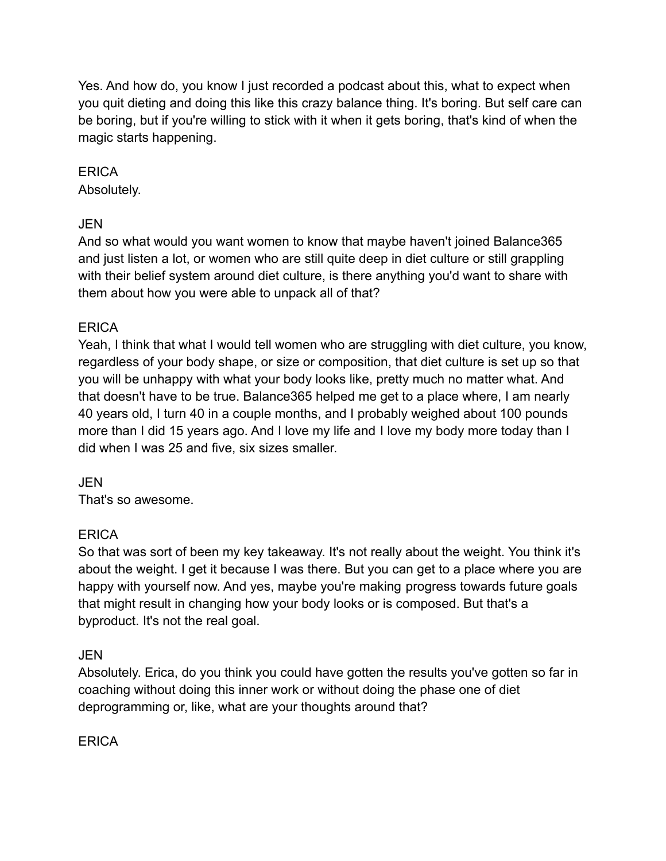Yes. And how do, you know I just recorded a podcast about this, what to expect when you quit dieting and doing this like this crazy balance thing. It's boring. But self care can be boring, but if you're willing to stick with it when it gets boring, that's kind of when the magic starts happening.

# **ERICA**

Absolutely.

# JEN

And so what would you want women to know that maybe haven't joined Balance365 and just listen a lot, or women who are still quite deep in diet culture or still grappling with their belief system around diet culture, is there anything you'd want to share with them about how you were able to unpack all of that?

# **ERICA**

Yeah, I think that what I would tell women who are struggling with diet culture, you know, regardless of your body shape, or size or composition, that diet culture is set up so that you will be unhappy with what your body looks like, pretty much no matter what. And that doesn't have to be true. Balance365 helped me get to a place where, I am nearly 40 years old, I turn 40 in a couple months, and I probably weighed about 100 pounds more than I did 15 years ago. And I love my life and I love my body more today than I did when I was 25 and five, six sizes smaller.

JEN

That's so awesome.

# **ERICA**

So that was sort of been my key takeaway. It's not really about the weight. You think it's about the weight. I get it because I was there. But you can get to a place where you are happy with yourself now. And yes, maybe you're making progress towards future goals that might result in changing how your body looks or is composed. But that's a byproduct. It's not the real goal.

JEN

Absolutely. Erica, do you think you could have gotten the results you've gotten so far in coaching without doing this inner work or without doing the phase one of diet deprogramming or, like, what are your thoughts around that?

**ERICA**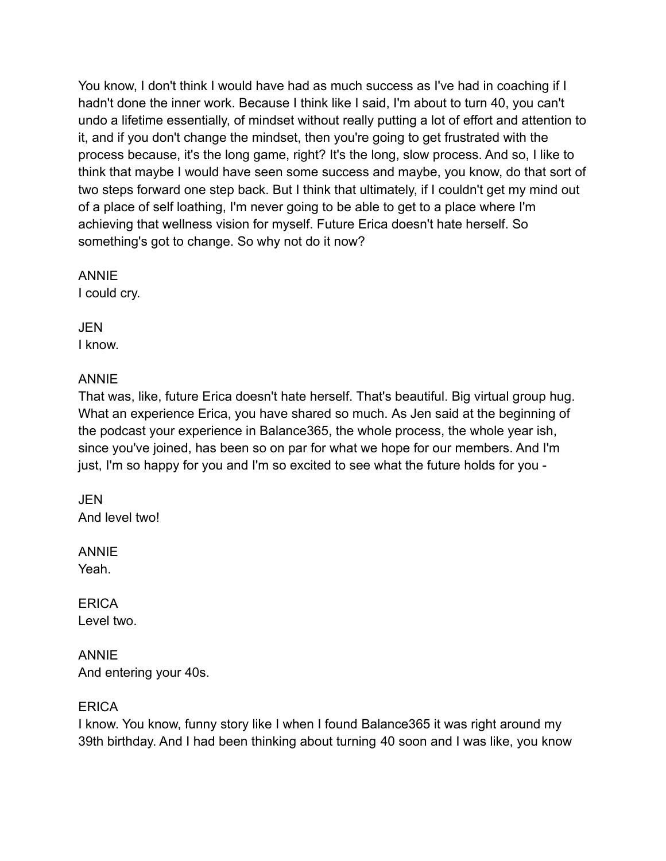You know, I don't think I would have had as much success as I've had in coaching if I hadn't done the inner work. Because I think like I said, I'm about to turn 40, you can't undo a lifetime essentially, of mindset without really putting a lot of effort and attention to it, and if you don't change the mindset, then you're going to get frustrated with the process because, it's the long game, right? It's the long, slow process. And so, I like to think that maybe I would have seen some success and maybe, you know, do that sort of two steps forward one step back. But I think that ultimately, if I couldn't get my mind out of a place of self loathing, I'm never going to be able to get to a place where I'm achieving that wellness vision for myself. Future Erica doesn't hate herself. So something's got to change. So why not do it now?

ANNIE

I could cry.

JEN I know.

#### ANNIE

That was, like, future Erica doesn't hate herself. That's beautiful. Big virtual group hug. What an experience Erica, you have shared so much. As Jen said at the beginning of the podcast your experience in Balance365, the whole process, the whole year ish, since you've joined, has been so on par for what we hope for our members. And I'm just, I'm so happy for you and I'm so excited to see what the future holds for you -

JEN And level two!

ANNIE Yeah.

**ERICA** Level two.

ANNIE And entering your 40s.

# **ERICA**

I know. You know, funny story like I when I found Balance365 it was right around my 39th birthday. And I had been thinking about turning 40 soon and I was like, you know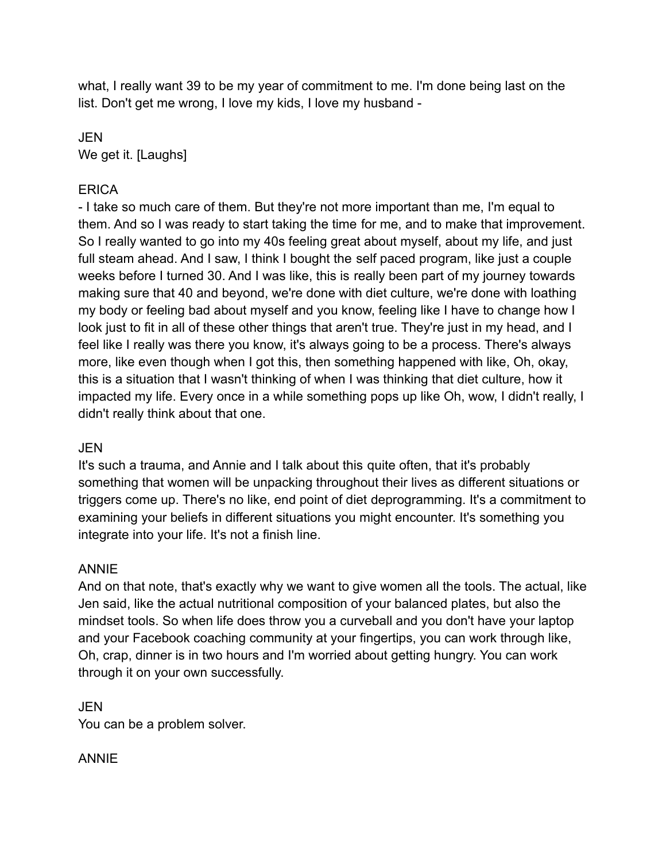what, I really want 39 to be my year of commitment to me. I'm done being last on the list. Don't get me wrong, I love my kids, I love my husband -

JEN We get it. [Laughs]

#### **ERICA**

- I take so much care of them. But they're not more important than me, I'm equal to them. And so I was ready to start taking the time for me, and to make that improvement. So I really wanted to go into my 40s feeling great about myself, about my life, and just full steam ahead. And I saw, I think I bought the self paced program, like just a couple weeks before I turned 30. And I was like, this is really been part of my journey towards making sure that 40 and beyond, we're done with diet culture, we're done with loathing my body or feeling bad about myself and you know, feeling like I have to change how I look just to fit in all of these other things that aren't true. They're just in my head, and I feel like I really was there you know, it's always going to be a process. There's always more, like even though when I got this, then something happened with like, Oh, okay, this is a situation that I wasn't thinking of when I was thinking that diet culture, how it impacted my life. Every once in a while something pops up like Oh, wow, I didn't really, I didn't really think about that one.

# JEN

It's such a trauma, and Annie and I talk about this quite often, that it's probably something that women will be unpacking throughout their lives as different situations or triggers come up. There's no like, end point of diet deprogramming. It's a commitment to examining your beliefs in different situations you might encounter. It's something you integrate into your life. It's not a finish line.

# ANNIE

And on that note, that's exactly why we want to give women all the tools. The actual, like Jen said, like the actual nutritional composition of your balanced plates, but also the mindset tools. So when life does throw you a curveball and you don't have your laptop and your Facebook coaching community at your fingertips, you can work through like, Oh, crap, dinner is in two hours and I'm worried about getting hungry. You can work through it on your own successfully.

JEN You can be a problem solver.

# ANNIE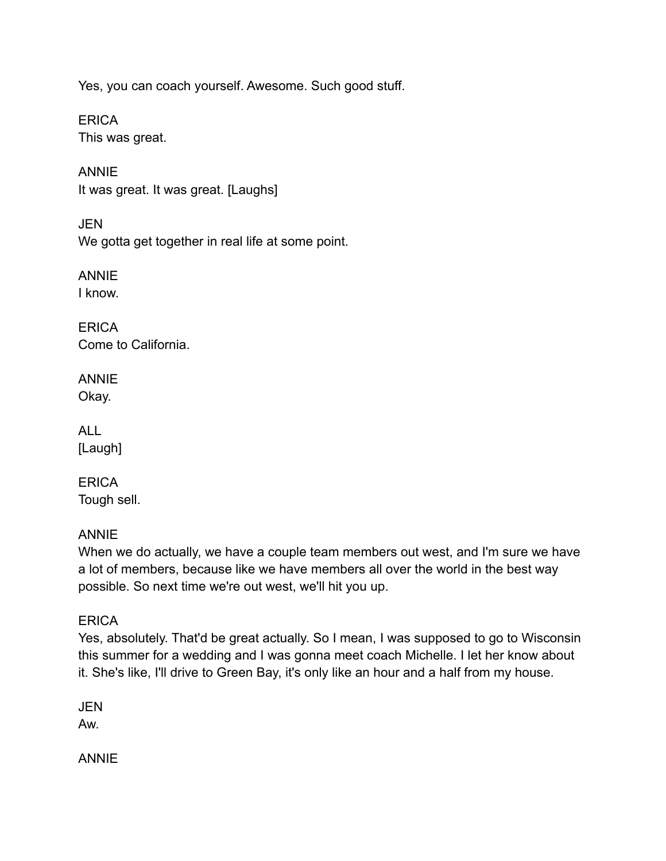Yes, you can coach yourself. Awesome. Such good stuff.

**ERICA** This was great.

ANNIE It was great. It was great. [Laughs]

JEN We gotta get together in real life at some point.

ANNIE I know.

**ERICA** Come to California.

ANNIE Okay.

ALL [Laugh]

ERICA Tough sell.

# ANNIE

When we do actually, we have a couple team members out west, and I'm sure we have a lot of members, because like we have members all over the world in the best way possible. So next time we're out west, we'll hit you up.

# **ERICA**

Yes, absolutely. That'd be great actually. So I mean, I was supposed to go to Wisconsin this summer for a wedding and I was gonna meet coach Michelle. I let her know about it. She's like, I'll drive to Green Bay, it's only like an hour and a half from my house.

JEN Aw.

ANNIE